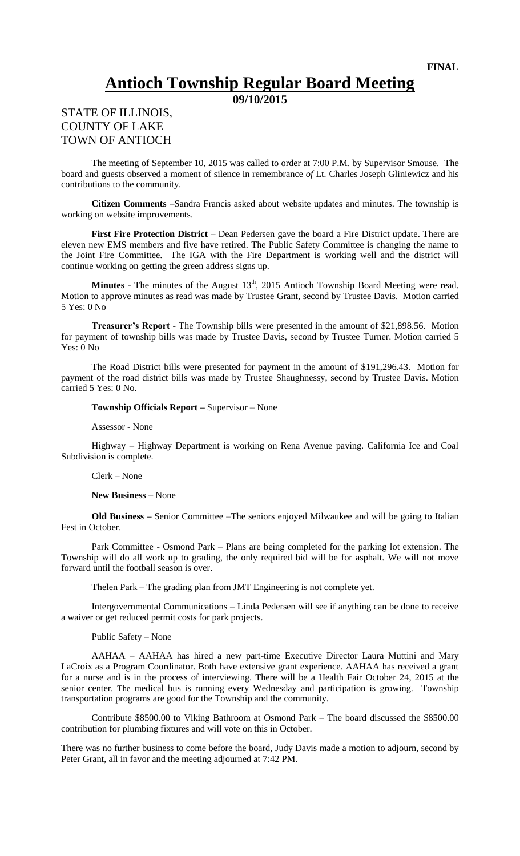## **Antioch Township Regular Board Meeting**

**09/10/2015**

## STATE OF ILLINOIS, COUNTY OF LAKE TOWN OF ANTIOCH

The meeting of September 10, 2015 was called to order at 7:00 P.M. by Supervisor Smouse. The board and guests observed a moment of silence in remembrance *of* Lt*.* Charles Joseph Gliniewicz and his contributions to the community.

**Citizen Comments** –Sandra Francis asked about website updates and minutes. The township is working on website improvements.

**First Fire Protection District –** Dean Pedersen gave the board a Fire District update. There are eleven new EMS members and five have retired. The Public Safety Committee is changing the name to the Joint Fire Committee. The IGA with the Fire Department is working well and the district will continue working on getting the green address signs up.

**Minutes** - The minutes of the August  $13<sup>th</sup>$ , 2015 Antioch Township Board Meeting were read. Motion to approve minutes as read was made by Trustee Grant, second by Trustee Davis. Motion carried 5 Yes: 0 No

**Treasurer's Report** - The Township bills were presented in the amount of \$21,898.56. Motion for payment of township bills was made by Trustee Davis, second by Trustee Turner. Motion carried 5 Yes: 0 No

The Road District bills were presented for payment in the amount of \$191,296.43. Motion for payment of the road district bills was made by Trustee Shaughnessy, second by Trustee Davis. Motion carried 5 Yes: 0 No.

**Township Officials Report –** Supervisor – None

Assessor - None

Highway – Highway Department is working on Rena Avenue paving. California Ice and Coal Subdivision is complete.

Clerk – None

**New Business –** None

**Old Business –** Senior Committee –The seniors enjoyed Milwaukee and will be going to Italian Fest in October.

Park Committee - Osmond Park – Plans are being completed for the parking lot extension. The Township will do all work up to grading, the only required bid will be for asphalt. We will not move forward until the football season is over.

Thelen Park – The grading plan from JMT Engineering is not complete yet.

Intergovernmental Communications – Linda Pedersen will see if anything can be done to receive a waiver or get reduced permit costs for park projects.

Public Safety – None

AAHAA – AAHAA has hired a new part-time Executive Director Laura Muttini and Mary LaCroix as a Program Coordinator. Both have extensive grant experience. AAHAA has received a grant for a nurse and is in the process of interviewing. There will be a Health Fair October 24, 2015 at the senior center. The medical bus is running every Wednesday and participation is growing. Township transportation programs are good for the Township and the community.

Contribute \$8500.00 to Viking Bathroom at Osmond Park – The board discussed the \$8500.00 contribution for plumbing fixtures and will vote on this in October.

There was no further business to come before the board, Judy Davis made a motion to adjourn, second by Peter Grant, all in favor and the meeting adjourned at 7:42 PM.